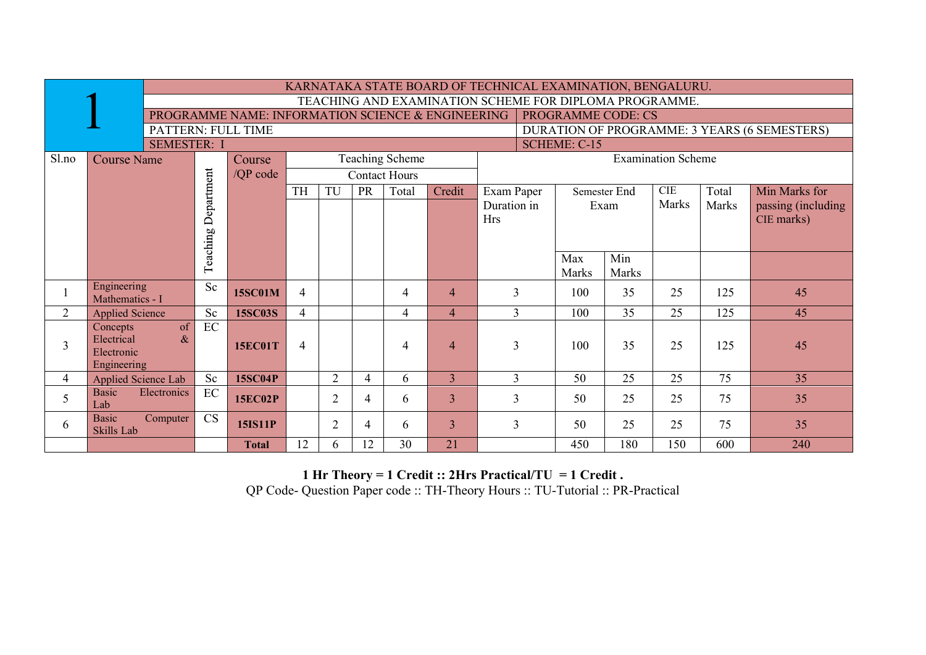| TEACHING AND EXAMINATION SCHEME FOR DIPLOMA PROGRAMME.<br>PROGRAMME NAME: INFORMATION SCIENCE & ENGINEERING<br><b>PROGRAMME CODE: CS</b><br>PATTERN: FULL TIME<br>DURATION OF PROGRAMME: 3 YEARS (6 SEMESTERS)<br><b>SCHEME: C-15</b><br><b>SEMESTER: I</b><br><b>Examination Scheme</b><br><b>Teaching Scheme</b><br>Sl.no<br><b>Course Name</b><br>Course<br>Department<br>/QP code<br><b>Contact Hours</b><br><b>TH</b><br><b>CIE</b><br>TU<br>PR<br>Total<br>Total<br>Min Marks for<br>Credit<br>Exam Paper<br>Semester End<br>Marks<br>Duration in<br><b>Marks</b><br>passing (including)<br>Exam<br><b>Hrs</b><br>CIE marks)<br>Teaching<br>Min<br>Max<br>Marks<br>Marks<br>Engineering<br><b>Sc</b><br>3<br>100<br>35<br>25<br>125<br>45<br>$\overline{4}$<br>$\overline{4}$<br>$\overline{4}$<br><b>15SC01M</b><br>Mathematics - I<br>$\overline{2}$<br>Sc<br>$\overline{3}$<br>100<br>35<br>25<br>125<br>$\overline{4}$<br>45<br>4<br><b>15SC03S</b><br>4<br><b>Applied Science</b><br>of<br>EC<br>Concepts<br>$\&$<br>Electrical<br>3<br>3<br>25<br>100<br>35<br>45<br>$\overline{4}$<br>$\overline{4}$<br>$\overline{4}$<br>125<br><b>15EC01T</b><br>Electronic<br>Engineering<br>$\overline{2}$<br>$\overline{3}$<br>25<br>75<br>Sc<br>3<br>50<br>25<br>35<br>$\overline{4}$<br><b>15SC04P</b><br>4<br>6<br>Applied Science Lab<br>$\rm EC$<br><b>Basic</b><br>Electronics<br>5<br>$\overline{2}$<br>3<br>3<br>50<br>25<br>25<br>75<br>35<br><b>15EC02P</b><br>6<br>4<br>Lab<br><b>Basic</b><br>CS<br>Computer<br>$\overline{2}$<br>3<br>$\overline{3}$<br>50<br>25<br>75<br>35<br>25<br>6<br>6<br><b>15IS11P</b><br>4<br><b>Skills Lab</b> |  | KARNATAKA STATE BOARD OF TECHNICAL EXAMINATION, BENGALURU. |              |    |   |    |    |    |  |     |     |     |     |     |  |  |
|---------------------------------------------------------------------------------------------------------------------------------------------------------------------------------------------------------------------------------------------------------------------------------------------------------------------------------------------------------------------------------------------------------------------------------------------------------------------------------------------------------------------------------------------------------------------------------------------------------------------------------------------------------------------------------------------------------------------------------------------------------------------------------------------------------------------------------------------------------------------------------------------------------------------------------------------------------------------------------------------------------------------------------------------------------------------------------------------------------------------------------------------------------------------------------------------------------------------------------------------------------------------------------------------------------------------------------------------------------------------------------------------------------------------------------------------------------------------------------------------------------------------------------------------------------------------------------------------------------------------------------------------------------|--|------------------------------------------------------------|--------------|----|---|----|----|----|--|-----|-----|-----|-----|-----|--|--|
|                                                                                                                                                                                                                                                                                                                                                                                                                                                                                                                                                                                                                                                                                                                                                                                                                                                                                                                                                                                                                                                                                                                                                                                                                                                                                                                                                                                                                                                                                                                                                                                                                                                         |  |                                                            |              |    |   |    |    |    |  |     |     |     |     |     |  |  |
|                                                                                                                                                                                                                                                                                                                                                                                                                                                                                                                                                                                                                                                                                                                                                                                                                                                                                                                                                                                                                                                                                                                                                                                                                                                                                                                                                                                                                                                                                                                                                                                                                                                         |  |                                                            |              |    |   |    |    |    |  |     |     |     |     |     |  |  |
|                                                                                                                                                                                                                                                                                                                                                                                                                                                                                                                                                                                                                                                                                                                                                                                                                                                                                                                                                                                                                                                                                                                                                                                                                                                                                                                                                                                                                                                                                                                                                                                                                                                         |  |                                                            |              |    |   |    |    |    |  |     |     |     |     |     |  |  |
|                                                                                                                                                                                                                                                                                                                                                                                                                                                                                                                                                                                                                                                                                                                                                                                                                                                                                                                                                                                                                                                                                                                                                                                                                                                                                                                                                                                                                                                                                                                                                                                                                                                         |  |                                                            |              |    |   |    |    |    |  |     |     |     |     |     |  |  |
|                                                                                                                                                                                                                                                                                                                                                                                                                                                                                                                                                                                                                                                                                                                                                                                                                                                                                                                                                                                                                                                                                                                                                                                                                                                                                                                                                                                                                                                                                                                                                                                                                                                         |  |                                                            |              |    |   |    |    |    |  |     |     |     |     |     |  |  |
|                                                                                                                                                                                                                                                                                                                                                                                                                                                                                                                                                                                                                                                                                                                                                                                                                                                                                                                                                                                                                                                                                                                                                                                                                                                                                                                                                                                                                                                                                                                                                                                                                                                         |  |                                                            |              |    |   |    |    |    |  |     |     |     |     |     |  |  |
|                                                                                                                                                                                                                                                                                                                                                                                                                                                                                                                                                                                                                                                                                                                                                                                                                                                                                                                                                                                                                                                                                                                                                                                                                                                                                                                                                                                                                                                                                                                                                                                                                                                         |  |                                                            |              |    |   |    |    |    |  |     |     |     |     |     |  |  |
|                                                                                                                                                                                                                                                                                                                                                                                                                                                                                                                                                                                                                                                                                                                                                                                                                                                                                                                                                                                                                                                                                                                                                                                                                                                                                                                                                                                                                                                                                                                                                                                                                                                         |  |                                                            |              |    |   |    |    |    |  |     |     |     |     |     |  |  |
|                                                                                                                                                                                                                                                                                                                                                                                                                                                                                                                                                                                                                                                                                                                                                                                                                                                                                                                                                                                                                                                                                                                                                                                                                                                                                                                                                                                                                                                                                                                                                                                                                                                         |  |                                                            |              |    |   |    |    |    |  |     |     |     |     |     |  |  |
|                                                                                                                                                                                                                                                                                                                                                                                                                                                                                                                                                                                                                                                                                                                                                                                                                                                                                                                                                                                                                                                                                                                                                                                                                                                                                                                                                                                                                                                                                                                                                                                                                                                         |  |                                                            |              |    |   |    |    |    |  |     |     |     |     |     |  |  |
|                                                                                                                                                                                                                                                                                                                                                                                                                                                                                                                                                                                                                                                                                                                                                                                                                                                                                                                                                                                                                                                                                                                                                                                                                                                                                                                                                                                                                                                                                                                                                                                                                                                         |  |                                                            |              |    |   |    |    |    |  |     |     |     |     |     |  |  |
|                                                                                                                                                                                                                                                                                                                                                                                                                                                                                                                                                                                                                                                                                                                                                                                                                                                                                                                                                                                                                                                                                                                                                                                                                                                                                                                                                                                                                                                                                                                                                                                                                                                         |  |                                                            |              |    |   |    |    |    |  |     |     |     |     |     |  |  |
|                                                                                                                                                                                                                                                                                                                                                                                                                                                                                                                                                                                                                                                                                                                                                                                                                                                                                                                                                                                                                                                                                                                                                                                                                                                                                                                                                                                                                                                                                                                                                                                                                                                         |  |                                                            |              |    |   |    |    |    |  |     |     |     |     |     |  |  |
|                                                                                                                                                                                                                                                                                                                                                                                                                                                                                                                                                                                                                                                                                                                                                                                                                                                                                                                                                                                                                                                                                                                                                                                                                                                                                                                                                                                                                                                                                                                                                                                                                                                         |  |                                                            |              |    |   |    |    |    |  |     |     |     |     |     |  |  |
|                                                                                                                                                                                                                                                                                                                                                                                                                                                                                                                                                                                                                                                                                                                                                                                                                                                                                                                                                                                                                                                                                                                                                                                                                                                                                                                                                                                                                                                                                                                                                                                                                                                         |  |                                                            |              |    |   |    |    |    |  |     |     |     |     |     |  |  |
|                                                                                                                                                                                                                                                                                                                                                                                                                                                                                                                                                                                                                                                                                                                                                                                                                                                                                                                                                                                                                                                                                                                                                                                                                                                                                                                                                                                                                                                                                                                                                                                                                                                         |  |                                                            |              |    |   |    |    |    |  |     |     |     |     |     |  |  |
|                                                                                                                                                                                                                                                                                                                                                                                                                                                                                                                                                                                                                                                                                                                                                                                                                                                                                                                                                                                                                                                                                                                                                                                                                                                                                                                                                                                                                                                                                                                                                                                                                                                         |  |                                                            |              |    |   |    |    |    |  |     |     |     |     |     |  |  |
|                                                                                                                                                                                                                                                                                                                                                                                                                                                                                                                                                                                                                                                                                                                                                                                                                                                                                                                                                                                                                                                                                                                                                                                                                                                                                                                                                                                                                                                                                                                                                                                                                                                         |  |                                                            |              |    |   |    |    |    |  |     |     |     |     |     |  |  |
|                                                                                                                                                                                                                                                                                                                                                                                                                                                                                                                                                                                                                                                                                                                                                                                                                                                                                                                                                                                                                                                                                                                                                                                                                                                                                                                                                                                                                                                                                                                                                                                                                                                         |  |                                                            |              |    |   |    |    |    |  |     |     |     |     |     |  |  |
|                                                                                                                                                                                                                                                                                                                                                                                                                                                                                                                                                                                                                                                                                                                                                                                                                                                                                                                                                                                                                                                                                                                                                                                                                                                                                                                                                                                                                                                                                                                                                                                                                                                         |  |                                                            |              |    |   |    |    |    |  |     |     |     |     |     |  |  |
|                                                                                                                                                                                                                                                                                                                                                                                                                                                                                                                                                                                                                                                                                                                                                                                                                                                                                                                                                                                                                                                                                                                                                                                                                                                                                                                                                                                                                                                                                                                                                                                                                                                         |  |                                                            |              |    |   |    |    |    |  |     |     |     |     |     |  |  |
|                                                                                                                                                                                                                                                                                                                                                                                                                                                                                                                                                                                                                                                                                                                                                                                                                                                                                                                                                                                                                                                                                                                                                                                                                                                                                                                                                                                                                                                                                                                                                                                                                                                         |  |                                                            |              |    |   |    |    |    |  |     |     |     |     |     |  |  |
|                                                                                                                                                                                                                                                                                                                                                                                                                                                                                                                                                                                                                                                                                                                                                                                                                                                                                                                                                                                                                                                                                                                                                                                                                                                                                                                                                                                                                                                                                                                                                                                                                                                         |  |                                                            | <b>Total</b> | 12 | 6 | 12 | 30 | 21 |  | 450 | 180 | 150 | 600 | 240 |  |  |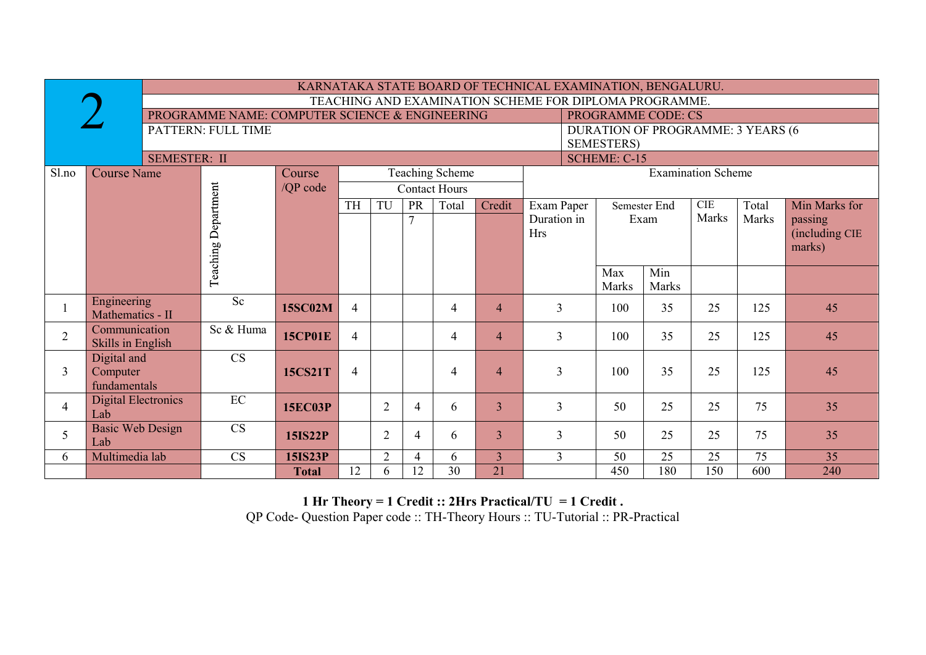|                |                                   |                                                |                |                                                                            |                |    |                      |                | KARNATAKA STATE BOARD OF TECHNICAL EXAMINATION, BENGALURU. |                           |              |       |                                   |                |
|----------------|-----------------------------------|------------------------------------------------|----------------|----------------------------------------------------------------------------|----------------|----|----------------------|----------------|------------------------------------------------------------|---------------------------|--------------|-------|-----------------------------------|----------------|
|                |                                   |                                                |                |                                                                            |                |    |                      |                | TEACHING AND EXAMINATION SCHEME FOR DIPLOMA PROGRAMME.     |                           |              |       |                                   |                |
|                |                                   | PROGRAMME NAME: COMPUTER SCIENCE & ENGINEERING |                |                                                                            |                |    |                      |                |                                                            | <b>PROGRAMME CODE: CS</b> |              |       |                                   |                |
|                |                                   | PATTERN: FULL TIME                             |                |                                                                            |                |    |                      |                |                                                            |                           |              |       | DURATION OF PROGRAMME: 3 YEARS (6 |                |
|                |                                   |                                                |                |                                                                            |                |    |                      |                |                                                            | <b>SEMESTERS</b> )        |              |       |                                   |                |
|                | <b>SEMESTER: II</b>               |                                                |                | <b>SCHEME: C-15</b><br><b>Teaching Scheme</b><br><b>Examination Scheme</b> |                |    |                      |                |                                                            |                           |              |       |                                   |                |
| Sl.no          | <b>Course Name</b>                |                                                | Course         |                                                                            |                |    |                      |                |                                                            |                           |              |       |                                   |                |
|                |                                   |                                                | /QP code       |                                                                            |                |    | <b>Contact Hours</b> |                |                                                            |                           |              |       |                                   |                |
|                |                                   | Teaching Department                            |                | TH                                                                         | TU             | PR | Total                | Credit         | Exam Paper                                                 |                           | Semester End | CIE   | Total                             | Min Marks for  |
|                |                                   |                                                |                |                                                                            |                | 7  |                      |                | Duration in                                                |                           | Exam         | Marks | Marks                             | passing        |
|                |                                   |                                                |                |                                                                            |                |    |                      |                | <b>Hrs</b>                                                 |                           |              |       |                                   | (including CIE |
|                |                                   |                                                |                |                                                                            |                |    |                      |                |                                                            |                           |              |       |                                   | marks)         |
|                |                                   |                                                |                |                                                                            |                |    |                      |                |                                                            | Max                       | Min          |       |                                   |                |
|                |                                   |                                                |                |                                                                            |                |    |                      |                |                                                            | Marks                     | <b>Marks</b> |       |                                   |                |
|                | Engineering                       | Sc                                             |                |                                                                            |                |    |                      |                |                                                            |                           |              |       |                                   |                |
|                | Mathematics - II                  |                                                | <b>15SC02M</b> | 4                                                                          |                |    | 4                    | $\overline{4}$ | $\mathfrak{Z}$                                             | 100                       | 35           | 25    | 125                               | 45             |
| $\overline{2}$ | Communication                     | Sc & Huma                                      | <b>15CP01E</b> | $\overline{4}$                                                             |                |    | 4                    | $\overline{4}$ | $\overline{3}$                                             | 100                       | 35           | 25    | 125                               | 45             |
|                | Skills in English                 |                                                |                |                                                                            |                |    |                      |                |                                                            |                           |              |       |                                   |                |
|                | Digital and                       | $\overline{\text{CS}}$                         |                |                                                                            |                |    |                      |                |                                                            |                           |              |       |                                   |                |
| 3              | Computer                          |                                                | <b>15CS21T</b> | $\overline{4}$                                                             |                |    | 4                    | $\overline{4}$ | $\overline{3}$                                             | 100                       | 35           | 25    | 125                               | 45             |
|                | fundamentals                      |                                                |                |                                                                            |                |    |                      |                |                                                            |                           |              |       |                                   |                |
| $\overline{4}$ | <b>Digital Electronics</b><br>Lab | $\rm EC$                                       | <b>15EC03P</b> |                                                                            | $\overline{2}$ | 4  | 6                    | $\overline{3}$ | $\mathfrak{Z}$                                             | 50                        | 25           | 25    | 75                                | 35             |
|                | <b>Basic Web Design</b>           | $\overline{\text{CS}}$                         |                |                                                                            |                |    |                      |                |                                                            |                           |              |       |                                   |                |
| 5              | Lab                               |                                                | <b>15IS22P</b> |                                                                            | $\overline{2}$ | 4  | 6                    | $\overline{3}$ | $\overline{3}$                                             | 50                        | 25           | 25    | 75                                | 35             |
| 6              | Multimedia lab                    | <b>CS</b>                                      | <b>15IS23P</b> |                                                                            | $\overline{2}$ | 4  | 6                    | $\overline{3}$ | $\overline{3}$                                             | 50                        | 25           | 25    | 75                                | 35             |
|                |                                   |                                                | <b>Total</b>   | 12                                                                         | 6              | 12 | 30                   | 21             |                                                            | 450                       | 180          | 150   | 600                               | 240            |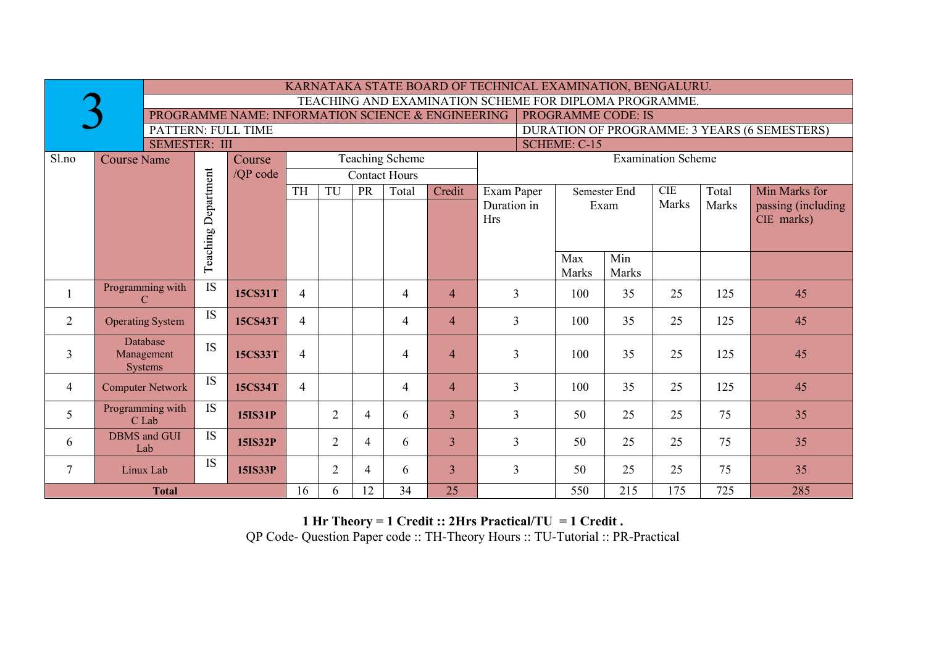|                    | KARNATAKA STATE BOARD OF TECHNICAL EXAMINATION, BENGALURU. |                 |                                                                                |                |                                                     |    |                      |                |                                              |  |              |              |              |       |                    |
|--------------------|------------------------------------------------------------|-----------------|--------------------------------------------------------------------------------|----------------|-----------------------------------------------------|----|----------------------|----------------|----------------------------------------------|--|--------------|--------------|--------------|-------|--------------------|
|                    | TEACHING AND EXAMINATION SCHEME FOR DIPLOMA PROGRAMME.     |                 |                                                                                |                |                                                     |    |                      |                |                                              |  |              |              |              |       |                    |
|                    |                                                            |                 | <b>PROGRAMME CODE: IS</b><br>PROGRAMME NAME: INFORMATION SCIENCE & ENGINEERING |                |                                                     |    |                      |                |                                              |  |              |              |              |       |                    |
| PATTERN: FULL TIME |                                                            |                 |                                                                                |                |                                                     |    |                      |                | DURATION OF PROGRAMME: 3 YEARS (6 SEMESTERS) |  |              |              |              |       |                    |
|                    | <b>SEMESTER: III</b>                                       |                 |                                                                                |                |                                                     |    |                      |                | <b>SCHEME: C-15</b>                          |  |              |              |              |       |                    |
| Sl.no              | <b>Course Name</b>                                         |                 | Course                                                                         |                | <b>Teaching Scheme</b><br><b>Examination Scheme</b> |    |                      |                |                                              |  |              |              |              |       |                    |
|                    |                                                            | Department      | /OP code                                                                       |                |                                                     |    | <b>Contact Hours</b> |                |                                              |  |              |              |              |       |                    |
|                    |                                                            |                 |                                                                                | <b>TH</b>      | TU                                                  | PR | Total                | Credit         | Exam Paper                                   |  | Semester End |              | CIE          | Total | Min Marks for      |
|                    |                                                            |                 |                                                                                |                |                                                     |    |                      |                | Duration in                                  |  | Exam         |              | <b>Marks</b> | Marks | passing (including |
|                    |                                                            |                 |                                                                                |                |                                                     |    |                      |                | <b>Hrs</b>                                   |  |              |              |              |       | CIE marks)         |
|                    |                                                            | Teaching        |                                                                                |                |                                                     |    |                      |                |                                              |  |              |              |              |       |                    |
|                    |                                                            |                 |                                                                                |                |                                                     |    |                      |                |                                              |  | Max          | Min          |              |       |                    |
|                    |                                                            |                 |                                                                                |                |                                                     |    |                      |                |                                              |  | Marks        | <b>Marks</b> |              |       |                    |
|                    | Programming with                                           | $\overline{IS}$ |                                                                                |                |                                                     |    |                      |                |                                              |  |              |              |              |       |                    |
|                    | $\mathcal{C}$                                              |                 | <b>15CS31T</b>                                                                 | $\overline{4}$ |                                                     |    | $\overline{4}$       | $\overline{4}$ | 3                                            |  | 35<br>100    |              | 25           | 125   | 45                 |
| $\overline{2}$     | <b>Operating System</b>                                    | IS              | 15CS43T                                                                        | $\overline{4}$ |                                                     |    | $\overline{4}$       | $\overline{4}$ | 3                                            |  | 100          | 35           | 25           | 125   | 45                 |
|                    | Database                                                   | <b>IS</b>       |                                                                                |                |                                                     |    |                      |                |                                              |  |              |              |              |       |                    |
| $\mathfrak{Z}$     | Management<br><b>Systems</b>                               |                 | 15CS33T                                                                        | $\overline{4}$ |                                                     |    | $\overline{4}$       | $\overline{4}$ | $\overline{3}$                               |  | 100          | 35           | 25           | 125   | 45                 |
|                    |                                                            | <b>IS</b>       |                                                                                |                |                                                     |    |                      |                |                                              |  |              |              |              |       |                    |
| $\overline{4}$     | <b>Computer Network</b>                                    |                 | <b>15CS34T</b>                                                                 | $\overline{4}$ |                                                     |    | $\overline{4}$       | $\overline{4}$ | 35<br>25<br>3<br>100<br>125                  |  |              |              | 45           |       |                    |
| 5                  | Programming with                                           | $\overline{IS}$ | <b>15IS31P</b>                                                                 |                | $\overline{2}$                                      | 4  | 6                    | $\overline{3}$ | 25<br>25<br>3<br>50                          |  |              |              | 75           | 35    |                    |
|                    | C Lab                                                      |                 |                                                                                |                |                                                     |    |                      |                |                                              |  |              |              |              |       |                    |
| 6                  | <b>DBMS</b> and GUI<br>Lab                                 | <b>IS</b>       | <b>15IS32P</b>                                                                 |                | $\overline{2}$                                      | 4  | 6                    | $\overline{3}$ | 3                                            |  | 50           | 25           | 25           | 75    | 35                 |
| $\tau$             | Linux Lab                                                  | IS              | 15IS33P                                                                        |                | $\overline{2}$                                      | 4  | 6                    | 3              | $\overline{3}$                               |  | 50           | 25           | 25           | 75    | 35                 |
| <b>Total</b>       |                                                            |                 |                                                                                |                | 6                                                   | 12 | 34                   | 25             |                                              |  | 550          | 215          | 175          | 725   | 285                |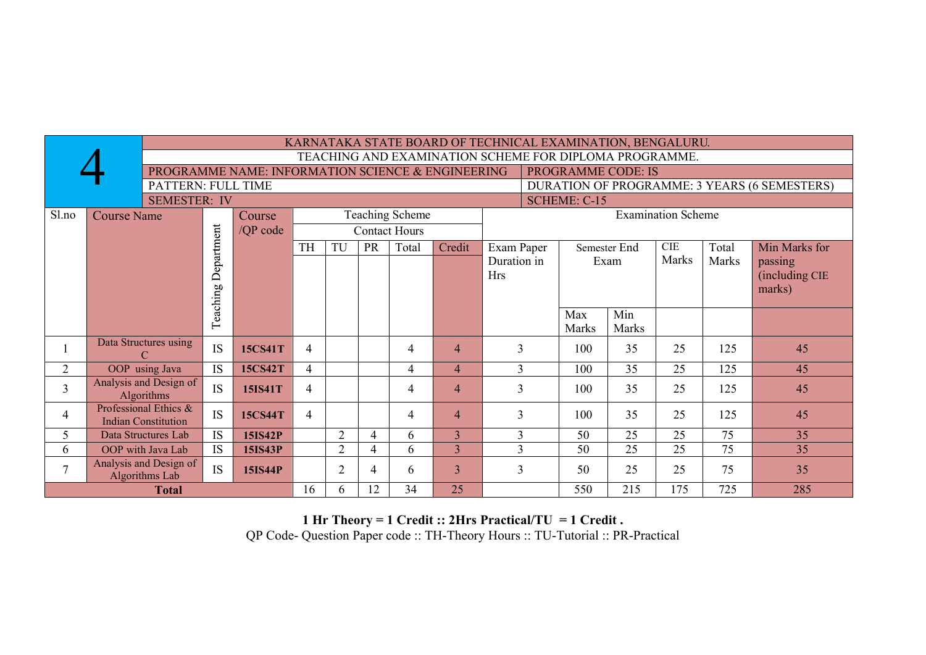|                                                                    |                                                                                | KARNATAKA STATE BOARD OF TECHNICAL EXAMINATION, BENGALURU.<br>TEACHING AND EXAMINATION SCHEME FOR DIPLOMA PROGRAMME. |                |                |                |                      |                        |                |             |                              |                        |                           |       |                |  |
|--------------------------------------------------------------------|--------------------------------------------------------------------------------|----------------------------------------------------------------------------------------------------------------------|----------------|----------------|----------------|----------------------|------------------------|----------------|-------------|------------------------------|------------------------|---------------------------|-------|----------------|--|
|                                                                    |                                                                                |                                                                                                                      |                |                |                |                      |                        |                |             |                              |                        |                           |       |                |  |
|                                                                    | PROGRAMME NAME: INFORMATION SCIENCE & ENGINEERING<br><b>PROGRAMME CODE: IS</b> |                                                                                                                      |                |                |                |                      |                        |                |             |                              |                        |                           |       |                |  |
| PATTERN: FULL TIME<br>DURATION OF PROGRAMME: 3 YEARS (6 SEMESTERS) |                                                                                |                                                                                                                      |                |                |                |                      |                        |                |             |                              |                        |                           |       |                |  |
|                                                                    | <b>SEMESTER: IV</b><br><b>SCHEME: C-15</b>                                     |                                                                                                                      |                |                |                |                      |                        |                |             |                              |                        |                           |       |                |  |
| Sl.no                                                              | <b>Course Name</b><br>Course                                                   |                                                                                                                      |                |                |                |                      | <b>Teaching Scheme</b> |                |             |                              |                        | <b>Examination Scheme</b> |       |                |  |
|                                                                    |                                                                                | /QP code                                                                                                             |                |                |                | <b>Contact Hours</b> |                        |                |             |                              |                        |                           |       |                |  |
|                                                                    |                                                                                | Department                                                                                                           |                | <b>TH</b>      | TU             | <b>PR</b>            | Total                  | Credit         | Exam Paper  |                              | Semester End           | CIE                       | Total | Min Marks for  |  |
|                                                                    |                                                                                |                                                                                                                      |                |                |                |                      |                        |                | Duration in |                              | Exam                   | Marks                     | Marks | passing        |  |
|                                                                    |                                                                                |                                                                                                                      |                |                |                |                      |                        |                | <b>Hrs</b>  |                              |                        |                           |       | (including CIE |  |
|                                                                    |                                                                                |                                                                                                                      |                |                |                |                      |                        |                |             | marks)                       |                        |                           |       |                |  |
|                                                                    |                                                                                |                                                                                                                      |                |                |                |                      |                        | Min<br>Max     |             |                              |                        |                           |       |                |  |
|                                                                    |                                                                                | Teaching                                                                                                             |                |                |                |                      |                        | Marks<br>Marks |             |                              |                        |                           |       |                |  |
|                                                                    | Data Structures using                                                          |                                                                                                                      |                |                |                |                      |                        |                |             |                              |                        |                           |       |                |  |
|                                                                    | C                                                                              | <b>IS</b>                                                                                                            | 15CS41T        | 4              |                |                      | 4                      | $\overline{4}$ | 3           |                              | 100<br>35<br>25<br>125 |                           |       | 45             |  |
| 2                                                                  | OOP using Java                                                                 | <b>IS</b>                                                                                                            | 15CS42T        | 4              |                |                      | 4                      | $\overline{4}$ | 3           | 100                          | 35                     | 25                        | 125   | 45             |  |
| $\overline{3}$                                                     | Analysis and Design of<br><b>Algorithms</b>                                    | <b>IS</b>                                                                                                            | 15IS41T        | 4              |                |                      | 4                      | $\overline{4}$ | 3           | 35<br>25<br>125<br>100<br>45 |                        |                           |       |                |  |
| $\overline{4}$                                                     | Professional Ethics &<br><b>Indian Constitution</b>                            | <b>IS</b>                                                                                                            | <b>15CS44T</b> | $\overline{4}$ |                |                      | 4                      | $\overline{4}$ | 3           | 100                          | 35                     | 25                        | 125   | 45             |  |
| 5                                                                  | Data Structures Lab                                                            | IS                                                                                                                   | <b>15IS42P</b> |                | $\overline{2}$ | $\overline{4}$       | 6                      | $\overline{3}$ | 3           | 50                           | 25                     | 25                        | 75    | 35             |  |
| 6                                                                  | OOP with Java Lab                                                              | <b>IS</b>                                                                                                            | 15IS43P        |                | $\overline{2}$ | 4                    | 6                      | $\overline{3}$ | 3           | 50                           | 25                     | 25                        | 75    | 35             |  |
| $\overline{7}$                                                     | Analysis and Design of<br>IS<br><b>15IS44P</b><br>Algorithms Lab               |                                                                                                                      |                |                | $\overline{2}$ | 4                    | 6                      | $\overline{3}$ | 3           | 50                           | 25                     | 25                        | 75    | 35             |  |
|                                                                    | 25<br>34<br>550<br>215<br>175<br>725<br>12<br>16<br><b>Total</b><br>6          |                                                                                                                      |                |                |                |                      |                        |                | 285         |                              |                        |                           |       |                |  |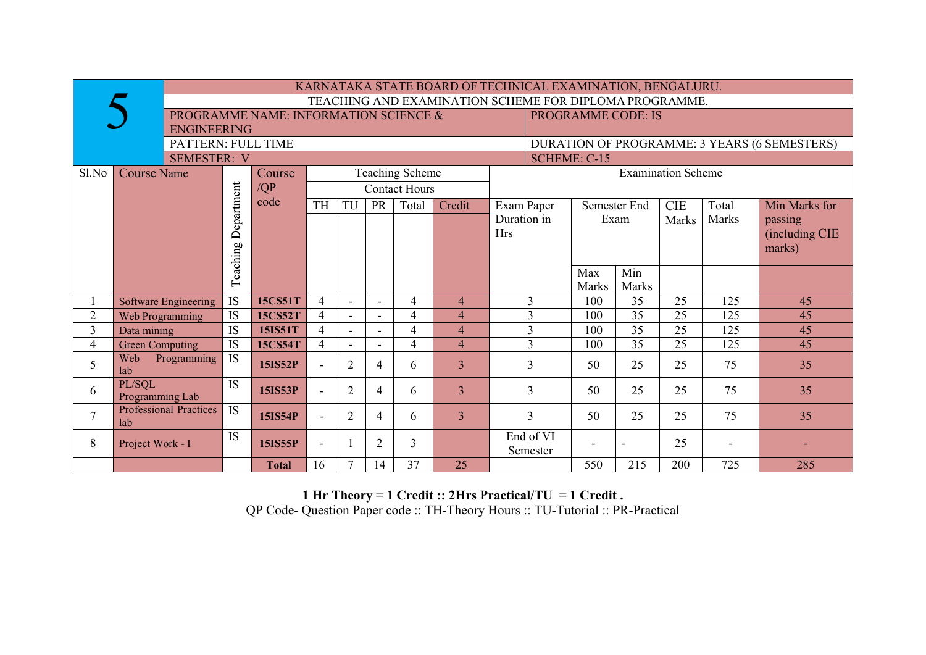|                    |                                                                    |                                                        |                 |                |                          |                |                      | KARNATAKA STATE BOARD OF TECHNICAL EXAMINATION, BENGALURU. |                     |                           |       |                 |              |       |                                              |
|--------------------|--------------------------------------------------------------------|--------------------------------------------------------|-----------------|----------------|--------------------------|----------------|----------------------|------------------------------------------------------------|---------------------|---------------------------|-------|-----------------|--------------|-------|----------------------------------------------|
|                    |                                                                    | TEACHING AND EXAMINATION SCHEME FOR DIPLOMA PROGRAMME. |                 |                |                          |                |                      |                                                            |                     |                           |       |                 |              |       |                                              |
|                    | PROGRAMME NAME: INFORMATION SCIENCE &<br><b>PROGRAMME CODE: IS</b> |                                                        |                 |                |                          |                |                      |                                                            |                     |                           |       |                 |              |       |                                              |
| <b>ENGINEERING</b> |                                                                    |                                                        |                 |                |                          |                |                      |                                                            |                     |                           |       |                 |              |       |                                              |
|                    | PATTERN: FULL TIME                                                 |                                                        |                 |                |                          |                |                      |                                                            |                     |                           |       |                 |              |       | DURATION OF PROGRAMME: 3 YEARS (6 SEMESTERS) |
|                    | <b>SEMESTER: V</b>                                                 |                                                        |                 |                |                          |                |                      |                                                            | <b>SCHEME: C-15</b> |                           |       |                 |              |       |                                              |
| Sl.No              | <b>Course Name</b>                                                 | <b>Teaching Scheme</b><br>Course                       |                 |                |                          |                |                      |                                                            |                     | <b>Examination Scheme</b> |       |                 |              |       |                                              |
|                    |                                                                    | Department                                             | $\overline{QP}$ |                |                          |                | <b>Contact Hours</b> |                                                            |                     |                           |       |                 |              |       |                                              |
|                    |                                                                    |                                                        | code            | TH             | TU                       | <b>PR</b>      | Total                | Credit                                                     | Exam Paper          |                           |       | Semester End    | <b>CIE</b>   | Total | Min Marks for                                |
|                    |                                                                    |                                                        |                 |                |                          |                |                      |                                                            | Duration in         |                           |       | Exam            | <b>Marks</b> | Marks | passing                                      |
|                    |                                                                    |                                                        |                 |                |                          |                |                      |                                                            | <b>Hrs</b>          |                           |       |                 |              |       | (including CIE                               |
|                    |                                                                    | Teaching                                               |                 |                |                          |                |                      |                                                            |                     |                           |       |                 |              |       | marks)                                       |
|                    |                                                                    |                                                        |                 |                |                          |                |                      |                                                            |                     |                           |       |                 |              |       |                                              |
|                    |                                                                    |                                                        |                 |                |                          |                |                      |                                                            |                     |                           | Max   | Min             |              |       |                                              |
|                    |                                                                    |                                                        |                 |                |                          |                |                      |                                                            |                     |                           | Marks | <b>Marks</b>    |              |       |                                              |
|                    | Software Engineering                                               | <b>IS</b>                                              | 15CS51T         | $\overline{4}$ | $\overline{\phantom{0}}$ | $\blacksquare$ | 4                    | $\overline{4}$                                             |                     | 3                         | 100   | 35              | 25           | 125   | 45                                           |
| $\overline{2}$     | Web Programming                                                    | <b>IS</b>                                              | 15CS52T         | $\overline{4}$ |                          |                | 4                    | 4                                                          |                     | 3                         | 100   | $\overline{35}$ | 25           | 125   | 45                                           |
| 3                  | Data mining                                                        | IS                                                     | 15IS51T         | $\overline{4}$ |                          | L.             | 4                    | $\overline{4}$                                             |                     | 3                         | 100   | 35              | 25           | 125   | 45                                           |
| 4                  | <b>Green Computing</b>                                             | <b>IS</b>                                              | 15CS54T         | $\overline{4}$ |                          | L.             | $\overline{4}$       | $\overline{4}$                                             |                     | 3                         | 100   | 35              | 25           | 125   | 45                                           |
| 5                  | Web<br>Programming<br>lab                                          | $\overline{IS}$                                        | <b>15IS52P</b>  | $\blacksquare$ | $\overline{2}$           | $\overline{4}$ | 6                    | $\overline{3}$                                             |                     | $\overline{3}$            | 50    | 25              | 25           | 75    | 35                                           |
| 6                  | PL/SQL<br>Programming Lab                                          | <b>IS</b>                                              | <b>15IS53P</b>  | $\blacksquare$ | 2                        | $\overline{4}$ | 6                    | $\overline{3}$                                             |                     | $\overline{3}$            | 50    | 25              | 25           | 75    | 35                                           |
| $\overline{7}$     | <b>Professional Practices</b><br>lab                               | <b>IS</b>                                              | <b>15IS54P</b>  |                | $\overline{2}$           | $\overline{4}$ | 6                    | $\overline{3}$                                             |                     | $\overline{3}$            | 50    | 25              | 25           | 75    | 35                                           |
| 8                  | Project Work - I                                                   | <b>IS</b>                                              | <b>15IS55P</b>  | $\blacksquare$ |                          | $\overline{2}$ | 3                    |                                                            |                     | End of VI<br>Semester     |       |                 | 25           |       |                                              |
|                    |                                                                    |                                                        | <b>Total</b>    | 16             | $\mathcal{I}$            | 14             | 37                   | 25                                                         |                     |                           | 550   | 215             | 200          | 725   | 285                                          |